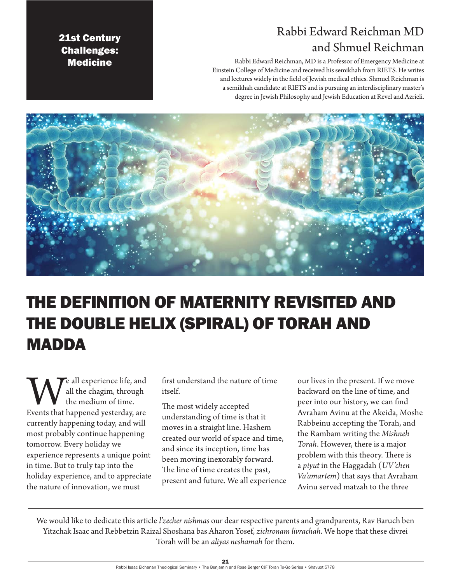# Rabbi Edward Reichman MD and Shmuel Reichman

21st Century Challenges: **Medicine** 

Rabbi Edward Reichman, MD is a Professor of Emergency Medicine at Einstein College of Medicine and received his semikhah from RIETS. He writes and lectures widely in the field of Jewish medical ethics. Shmuel Reichman is a semikhah candidate at RIETS and is pursuing an interdisciplinary master's degree in Jewish Philosophy and Jewish Education at Revel and Azrieli.



# THE DEFINITION OF MATERNITY REVISITED AND THE DOUBLE HELIX (SPIRAL) OF TORAH AND MADDA

We all experience life, and all the chagim, through the medium of time.<br>Events that happened yesterday, are all the chagim, through the medium of time. currently happening today, and will most probably continue happening tomorrow. Every holiday we experience represents a unique point in time. But to truly tap into the holiday experience, and to appreciate the nature of innovation, we must

first understand the nature of time itself.

The most widely accepted understanding of time is that it moves in a straight line. Hashem created our world of space and time, and since its inception, time has been moving inexorably forward. The line of time creates the past, present and future. We all experience our lives in the present. If we move backward on the line of time, and peer into our history, we can find Avraham Avinu at the Akeida, Moshe Rabbeinu accepting the Torah, and the Rambam writing the *Mishneh Torah*. However, there is a major problem with this theory. There is a *piyut* in the Haggadah (*UV'chen Va'amartem*) that says that Avraham Avinu served matzah to the three

We would like to dedicate this article *l'zecher nishmas* our dear respective parents and grandparents, Rav Baruch ben Yitzchak Isaac and Rebbetzin Raizal Shoshana bas Aharon Yosef, *zichronam livrachah*. We hope that these divrei Torah will be an *aliyas neshamah* for them.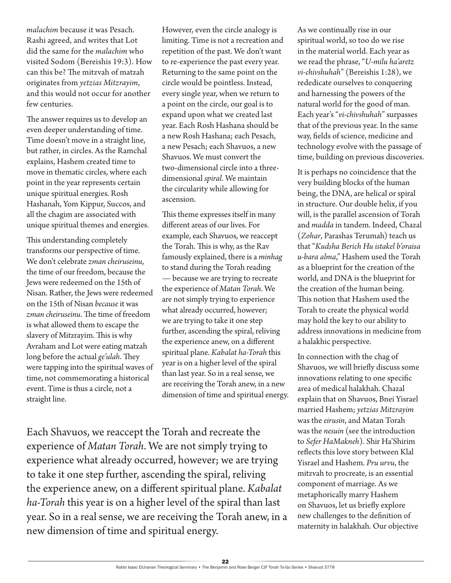*malachim* because it was Pesach. Rashi agreed, and writes that Lot did the same for the *malachim* who visited Sodom (Bereishis 19:3). How can this be? The mitzvah of matzah originates from *yetzias Mitzrayim*, and this would not occur for another few centuries.

The answer requires us to develop an even deeper understanding of time. Time doesn't move in a straight line, but rather, in circles. As the Ramchal explains, Hashem created time to move in thematic circles, where each point in the year represents certain unique spiritual energies. Rosh Hashanah, Yom Kippur, Succos, and all the chagim are associated with unique spiritual themes and energies.

This understanding completely transforms our perspective of time. We don't celebrate *zman cheiruseinu*, the time of our freedom, because the Jews were redeemed on the 15th of Nisan. Rather, the Jews were redeemed on the 15th of Nisan *because* it was *zman cheiruseinu*. The time of freedom is what allowed them to escape the slavery of Mitzrayim. This is why Avraham and Lot were eating matzah long before the actual *ge'ulah*. They were tapping into the spiritual waves of time, not commemorating a historical event. Time is thus a circle, not a straight line.

However, even the circle analogy is limiting. Time is not a recreation and repetition of the past. We don't want to re-experience the past every year. Returning to the same point on the circle would be pointless. Instead, every single year, when we return to a point on the circle, our goal is to expand upon what we created last year. Each Rosh Hashana should be a new Rosh Hashana; each Pesach, a new Pesach; each Shavuos, a new Shavuos. We must convert the two-dimensional circle into a threedimensional *spiral*. We maintain the circularity while allowing for ascension.

This theme expresses itself in many different areas of our lives. For example, each Shavuos, we reaccept the Torah. This is why, as the Rav famously explained, there is a *minhag* to stand during the Torah reading — because we are trying to recreate the experience of *Matan Torah*. We are not simply trying to experience what already occurred, however; we are trying to take it one step further, ascending the spiral, reliving the experience anew, on a different spiritual plane. *Kabalat ha-Torah* this year is on a higher level of the spiral than last year. So in a real sense, we are receiving the Torah anew, in a new dimension of time and spiritual energy.

Each Shavuos, we reaccept the Torah and recreate the experience of *Matan Torah*. We are not simply trying to experience what already occurred, however; we are trying to take it one step further, ascending the spiral, reliving the experience anew, on a different spiritual plane. *Kabalat ha-Torah* this year is on a higher level of the spiral than last year. So in a real sense, we are receiving the Torah anew, in a new dimension of time and spiritual energy.

As we continually rise in our spiritual world, so too do we rise in the material world. Each year as we read the phrase, "*U-milu ha'aretz vi-chivshuhah*" (Bereishis 1:28), we rededicate ourselves to conquering and harnessing the powers of the natural world for the good of man. Each year's "*vi-chivshuhah*" surpasses that of the previous year. In the same way, fields of science, medicine and technology evolve with the passage of time, building on previous discoveries.

It is perhaps no coincidence that the very building blocks of the human being, the DNA, are helical or spiral in structure. Our double helix, if you will, is the parallel ascension of Torah and *madda* in tandem. Indeed, Chazal (*Zohar*, Parashas Terumah) teach us that "*Kudsha Berich Hu istakel b'oraisa u-bara alma*," Hashem used the Torah as a blueprint for the creation of the world, and DNA is the blueprint for the creation of the human being. This notion that Hashem used the Torah to create the physical world may hold the key to our ability to address innovations in medicine from a halakhic perspective.

In connection with the chag of Shavuos, we will briefly discuss some innovations relating to one specific area of medical halakhah. Chazal explain that on Shavuos, Bnei Yisrael married Hashem; *yetzias Mitzrayim* was the *eirusin*, and Matan Torah was the *nesuin* (see the introduction to *Sefer HaMakneh*). Shir Ha'Shirim reflects this love story between Klal Yisrael and Hashem. *Pru urvu*, the mitzvah to procreate, is an essential component of marriage. As we metaphorically marry Hashem on Shavuos, let us briefly explore new challenges to the definition of maternity in halakhah. Our objective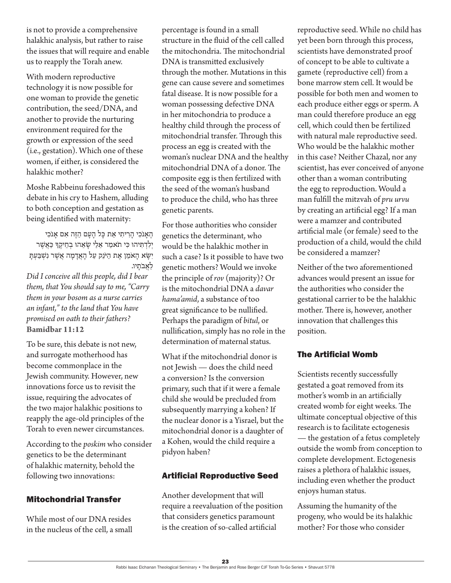is not to provide a comprehensive halakhic analysis, but rather to raise the issues that will require and enable us to reapply the Torah anew.

With modern reproductive technology it is now possible for one woman to provide the genetic contribution, the seed/DNA, and another to provide the nurturing environment required for the growth or expression of the seed (i.e., gestation). Which one of these women, if either, is considered the halakhic mother?

Moshe Rabbeinu foreshadowed this debate in his cry to Hashem, alluding to both conception and gestation as being identified with maternity:

הֶ אָנֹכִי הָרִיתִי אֵת כָּל הָעָם הַזֶּה אִם אָנֹכִי יִלְדְתִּיהוּ כִּי תֹאמַר אֵלַי שָׂאֵהוּ בְחֵיקֵךְ כַּאֲשֶׁר יִ שָ א הָ אֹמֵ ן אֶ ת הַ יֹנֵק עַ ל הָ אֲ דָ מָ ה אֲ שֶ ר נִשְ בַ עְ תָ לאבֹתיו.

*Did I conceive all this people, did I bear them, that You should say to me, "Carry them in your bosom as a nurse carries an infant," to the land that You have promised on oath to their fathers?* **Bamidbar 11:12**

To be sure, this debate is not new, and surrogate motherhood has become commonplace in the Jewish community. However, new innovations force us to revisit the issue, requiring the advocates of the two major halakhic positions to reapply the age-old principles of the Torah to even newer circumstances.

According to the *poskim* who consider genetics to be the determinant of halakhic maternity, behold the following two innovations:

## Mitochondrial Transfer

While most of our DNA resides in the nucleus of the cell, a small percentage is found in a small structure in the fluid of the cell called the mitochondria. The mitochondrial DNA is transmitted exclusively through the mother. Mutations in this gene can cause severe and sometimes fatal disease. It is now possible for a woman possessing defective DNA in her mitochondria to produce a healthy child through the process of mitochondrial transfer. Through this process an egg is created with the woman's nuclear DNA and the healthy mitochondrial DNA of a donor. The composite egg is then fertilized with the seed of the woman's husband to produce the child, who has three genetic parents.

For those authorities who consider genetics the determinant, who would be the halakhic mother in such a case? Is it possible to have two genetic mothers? Would we invoke the principle of *rov* (majority)? Or is the mitochondrial DNA a *davar hama'amid*, a substance of too great significance to be nullified. Perhaps the paradigm of *bitul*, or nullification, simply has no role in the determination of maternal status.

What if the mitochondrial donor is not Jewish — does the child need a conversion? Is the conversion primary, such that if it were a female child she would be precluded from subsequently marrying a kohen? If the nuclear donor is a Yisrael, but the mitochondrial donor is a daughter of a Kohen, would the child require a pidyon haben?

## Artificial Reproductive Seed

Another development that will require a reevaluation of the position that considers genetics paramount is the creation of so-called artificial

reproductive seed. While no child has yet been born through this process, scientists have demonstrated proof of concept to be able to cultivate a gamete (reproductive cell) from a bone marrow stem cell. It would be possible for both men and women to each produce either eggs or sperm. A man could therefore produce an egg cell, which could then be fertilized with natural male reproductive seed. Who would be the halakhic mother in this case? Neither Chazal, nor any scientist, has ever conceived of anyone other than a woman contributing the egg to reproduction. Would a man fulfill the mitzvah of *pru urvu* by creating an artificial egg? If a man were a mamzer and contributed artificial male (or female) seed to the production of a child, would the child be considered a mamzer?

Neither of the two aforementioned advances would present an issue for the authorities who consider the gestational carrier to be the halakhic mother. There is, however, another innovation that challenges this position.

#### The Artificial Womb

Scientists recently successfully gestated a goat removed from its mother's womb in an artificially created womb for eight weeks. The ultimate conceptual objective of this research is to facilitate ectogenesis — the gestation of a fetus completely outside the womb from conception to complete development. Ectogenesis raises a plethora of halakhic issues, including even whether the product enjoys human status.

Assuming the humanity of the progeny, who would be its halakhic mother? For those who consider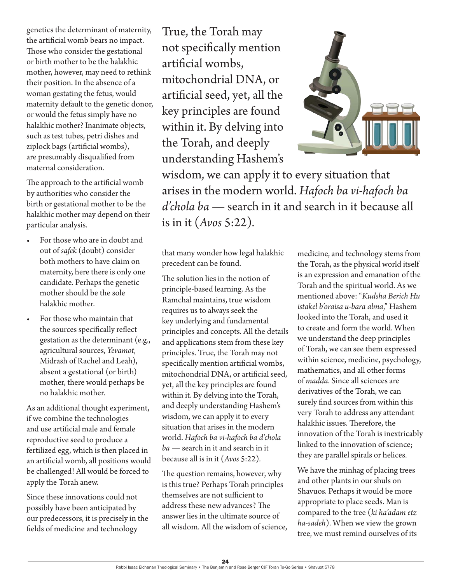genetics the determinant of maternity, the artificial womb bears no impact. Those who consider the gestational or birth mother to be the halakhic mother, however, may need to rethink their position. In the absence of a woman gestating the fetus, would maternity default to the genetic donor, or would the fetus simply have no halakhic mother? Inanimate objects, such as test tubes, petri dishes and ziplock bags (artificial wombs), are presumably disqualified from maternal consideration.

The approach to the artificial womb by authorities who consider the birth or gestational mother to be the halakhic mother may depend on their particular analysis.

- For those who are in doubt and out of *safek* (doubt) consider both mothers to have claim on maternity, here there is only one candidate. Perhaps the genetic mother should be the sole halakhic mother.
- For those who maintain that the sources specifically reflect gestation as the determinant (e.g., agricultural sources, *Yevamot*, Midrash of Rachel and Leah), absent a gestational (or birth) mother, there would perhaps be no halakhic mother.

As an additional thought experiment, if we combine the technologies and use artificial male and female reproductive seed to produce a fertilized egg, which is then placed in an artificial womb, all positions would be challenged! All would be forced to apply the Torah anew.

Since these innovations could not possibly have been anticipated by our predecessors, it is precisely in the fields of medicine and technology

True, the Torah may not specifically mention artificial wombs, mitochondrial DNA, or artificial seed, yet, all the key principles are found within it. By delving into the Torah, and deeply understanding Hashem's



wisdom, we can apply it to every situation that arises in the modern world. *Hafoch ba vi-hafoch ba d'chola ba* — search in it and search in it because all is in it (*Avos* 5:22)*.*

that many wonder how legal halakhic precedent can be found.

The solution lies in the notion of principle-based learning. As the Ramchal maintains, true wisdom requires us to always seek the key underlying and fundamental principles and concepts. All the details and applications stem from these key principles. True, the Torah may not specifically mention artificial wombs, mitochondrial DNA, or artificial seed, yet, all the key principles are found within it. By delving into the Torah, and deeply understanding Hashem's wisdom, we can apply it to every situation that arises in the modern world. *Hafoch ba vi-hafoch ba d'chola ba* — search in it and search in it because all is in it (*Avos* 5:22)*.*

The question remains, however, why is this true? Perhaps Torah principles themselves are not sufficient to address these new advances? The answer lies in the ultimate source of all wisdom. All the wisdom of science, medicine, and technology stems from the Torah, as the physical world itself is an expression and emanation of the Torah and the spiritual world. As we mentioned above: "*Kudsha Berich Hu istakel b'oraisa u-bara alma*," Hashem looked into the Torah, and used it to create and form the world. When we understand the deep principles of Torah, we can see them expressed within science, medicine, psychology, mathematics, and all other forms of *madda*. Since all sciences are derivatives of the Torah, we can surely find sources from within this very Torah to address any attendant halakhic issues. Therefore, the innovation of the Torah is inextricably linked to the innovation of science; they are parallel spirals or helices.

We have the minhag of placing trees and other plants in our shuls on Shavuos. Perhaps it would be more appropriate to place seeds. Man is compared to the tree (*ki ha'adam etz ha-sadeh*). When we view the grown tree, we must remind ourselves of its